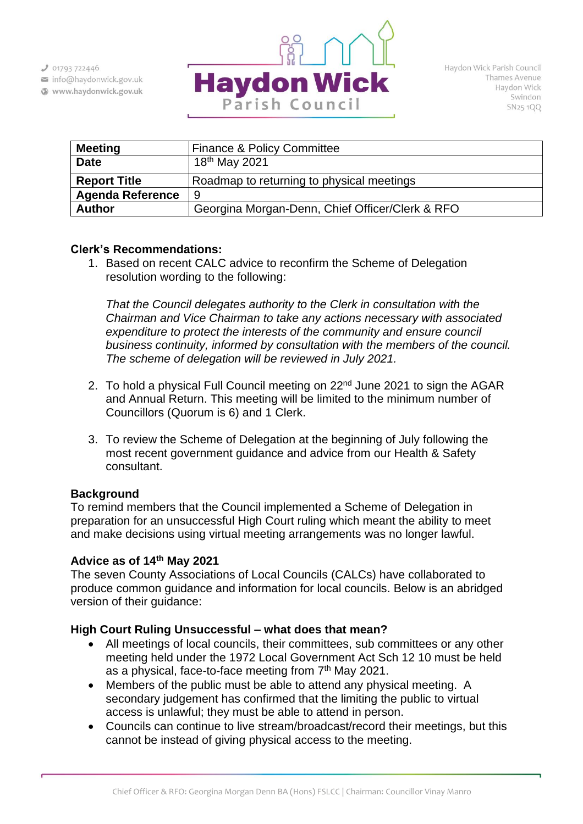$301793722446$ 

info@haydonwick.gov.uk Www.haydonwick.gov.uk



| <b>Meeting</b>          | <b>Finance &amp; Policy Committee</b>           |
|-------------------------|-------------------------------------------------|
| <b>Date</b>             | 18 <sup>th</sup> May 2021                       |
| <b>Report Title</b>     | Roadmap to returning to physical meetings       |
| <b>Agenda Reference</b> | -9                                              |
| <b>Author</b>           | Georgina Morgan-Denn, Chief Officer/Clerk & RFO |

### **Clerk's Recommendations:**

1. Based on recent CALC advice to reconfirm the Scheme of Delegation resolution wording to the following:

*That the Council delegates authority to the Clerk in consultation with the Chairman and Vice Chairman to take any actions necessary with associated expenditure to protect the interests of the community and ensure council business continuity, informed by consultation with the members of the council. The scheme of delegation will be reviewed in July 2021.*

- 2. To hold a physical Full Council meeting on 22<sup>nd</sup> June 2021 to sign the AGAR and Annual Return. This meeting will be limited to the minimum number of Councillors (Quorum is 6) and 1 Clerk.
- 3. To review the Scheme of Delegation at the beginning of July following the most recent government guidance and advice from our Health & Safety consultant.

# **Background**

To remind members that the Council implemented a Scheme of Delegation in preparation for an unsuccessful High Court ruling which meant the ability to meet and make decisions using virtual meeting arrangements was no longer lawful.

### **Advice as of 14th May 2021**

The seven County Associations of Local Councils (CALCs) have collaborated to produce common guidance and information for local councils. Below is an abridged version of their guidance:

# **High Court Ruling Unsuccessful – what does that mean?**

- All meetings of local councils, their committees, sub committees or any other meeting held under the 1972 Local Government Act Sch 12 10 must be held as a physical, face-to-face meeting from 7<sup>th</sup> May 2021.
- Members of the public must be able to attend any physical meeting. A secondary judgement has confirmed that the limiting the public to virtual access is unlawful; they must be able to attend in person.
- Councils can continue to live stream/broadcast/record their meetings, but this cannot be instead of giving physical access to the meeting.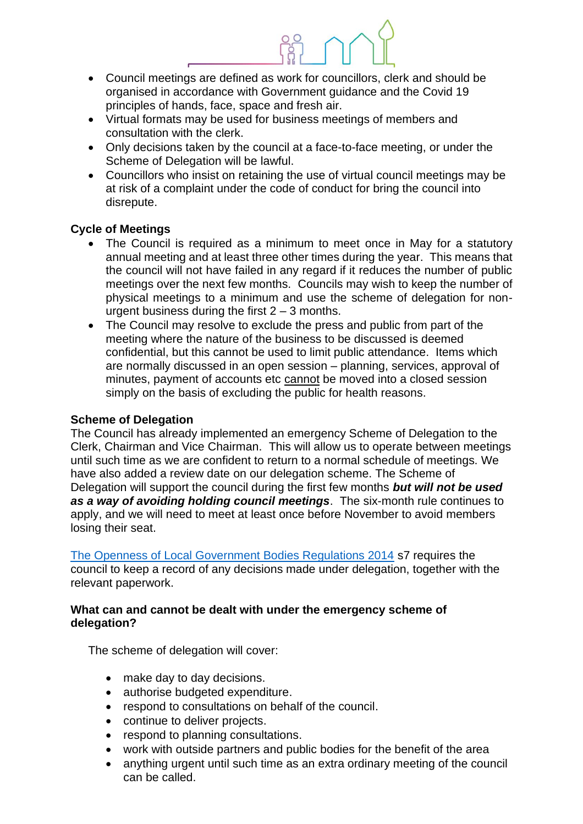- Council meetings are defined as work for councillors, clerk and should be organised in accordance with Government guidance and the Covid 19 principles of hands, face, space and fresh air.
- Virtual formats may be used for business meetings of members and consultation with the clerk.
- Only decisions taken by the council at a face-to-face meeting, or under the Scheme of Delegation will be lawful.
- Councillors who insist on retaining the use of virtual council meetings may be at risk of a complaint under the code of conduct for bring the council into disrepute.

### **Cycle of Meetings**

- The Council is required as a minimum to meet once in May for a statutory annual meeting and at least three other times during the year. This means that the council will not have failed in any regard if it reduces the number of public meetings over the next few months. Councils may wish to keep the number of physical meetings to a minimum and use the scheme of delegation for nonurgent business during the first  $2 - 3$  months.
- The Council may resolve to exclude the press and public from part of the meeting where the nature of the business to be discussed is deemed confidential, but this cannot be used to limit public attendance. Items which are normally discussed in an open session – planning, services, approval of minutes, payment of accounts etc cannot be moved into a closed session simply on the basis of excluding the public for health reasons.

### **Scheme of Delegation**

The Council has already implemented an emergency Scheme of Delegation to the Clerk, Chairman and Vice Chairman. This will allow us to operate between meetings until such time as we are confident to return to a normal schedule of meetings. We have also added a review date on our delegation scheme. The Scheme of Delegation will support the council during the first few months *but will not be used as a way of avoiding holding council meetings*. The six-month rule continues to apply, and we will need to meet at least once before November to avoid members losing their seat.

[The Openness of Local Government Bodies Regulations 2014](https://www.legislation.gov.uk/ukdsi/2014/9780111113554) s7 requires the council to keep a record of any decisions made under delegation, together with the relevant paperwork.

#### **What can and cannot be dealt with under the emergency scheme of delegation?**

The scheme of delegation will cover:

- make day to day decisions.
- authorise budgeted expenditure.
- respond to consultations on behalf of the council.
- continue to deliver projects.
- respond to planning consultations.
- work with outside partners and public bodies for the benefit of the area
- anything urgent until such time as an extra ordinary meeting of the council can be called.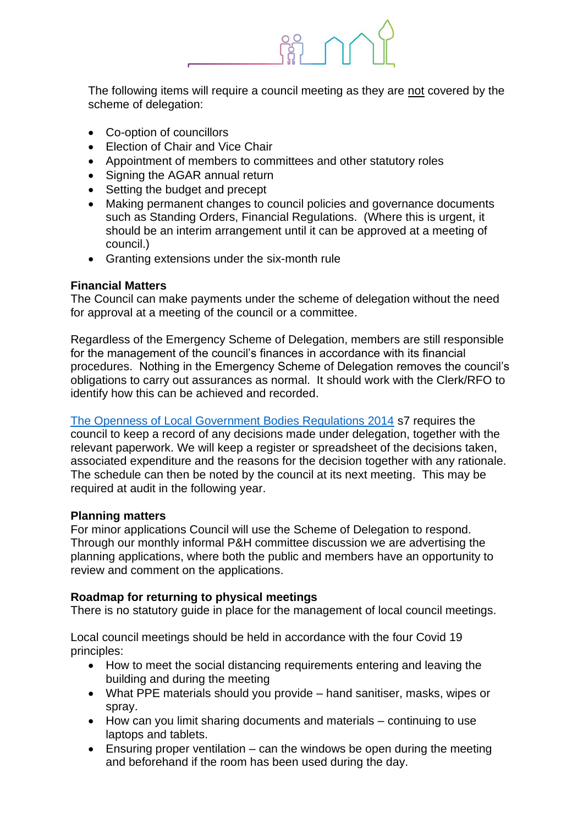

The following items will require a council meeting as they are not covered by the scheme of delegation:

- Co-option of councillors
- Election of Chair and Vice Chair
- Appointment of members to committees and other statutory roles
- Signing the AGAR annual return
- Setting the budget and precept
- Making permanent changes to council policies and governance documents such as Standing Orders, Financial Regulations. (Where this is urgent, it should be an interim arrangement until it can be approved at a meeting of council.)
- Granting extensions under the six-month rule

### **Financial Matters**

The Council can make payments under the scheme of delegation without the need for approval at a meeting of the council or a committee.

Regardless of the Emergency Scheme of Delegation, members are still responsible for the management of the council's finances in accordance with its financial procedures. Nothing in the Emergency Scheme of Delegation removes the council's obligations to carry out assurances as normal. It should work with the Clerk/RFO to identify how this can be achieved and recorded.

[The Openness of Local Government Bodies Regulations 2014](https://www.legislation.gov.uk/ukdsi/2014/9780111113554) s7 requires the council to keep a record of any decisions made under delegation, together with the relevant paperwork. We will keep a register or spreadsheet of the decisions taken, associated expenditure and the reasons for the decision together with any rationale. The schedule can then be noted by the council at its next meeting. This may be required at audit in the following year.

#### **Planning matters**

For minor applications Council will use the Scheme of Delegation to respond. Through our monthly informal P&H committee discussion we are advertising the planning applications, where both the public and members have an opportunity to review and comment on the applications.

### **Roadmap for returning to physical meetings**

There is no statutory guide in place for the management of local council meetings.

Local council meetings should be held in accordance with the four Covid 19 principles:

- How to meet the social distancing requirements entering and leaving the building and during the meeting
- What PPE materials should you provide hand sanitiser, masks, wipes or spray.
- How can you limit sharing documents and materials continuing to use laptops and tablets.
- Ensuring proper ventilation  $-$  can the windows be open during the meeting and beforehand if the room has been used during the day.